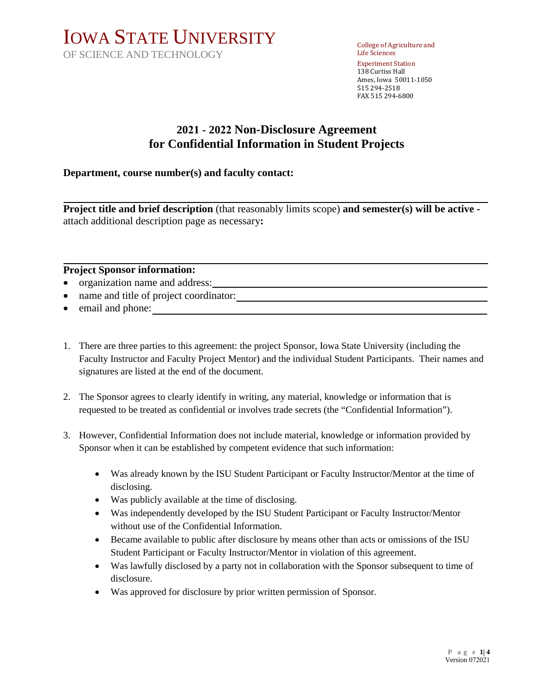# IOWA STATE UNIVERSITY OF SCIENCE AND TECHNOLOGY

College of Agriculture and Life Sciences Experiment Station 138 Curtiss Hall Ames, Iowa 50011-1050 515 294-2518 FAX 515 294-6800

## **2021 - 2022 Non-Disclosure Agreement for Confidential Information in Student Projects**

### **Department, course number(s) and faculty contact:**

**Project title and brief description** (that reasonably limits scope) **and semester(s) will be active**  attach additional description page as necessary**:** 

#### **Project Sponsor information:**

- organization name and address:
- name and title of project coordinator:
- email and phone:
- 1. There are three parties to this agreement: the project Sponsor, Iowa State University (including the Faculty Instructor and Faculty Project Mentor) and the individual Student Participants. Their names and signatures are listed at the end of the document.
- 2. The Sponsor agrees to clearly identify in writing, any material, knowledge or information that is requested to be treated as confidential or involves trade secrets (the "Confidential Information").
- 3. However, Confidential Information does not include material, knowledge or information provided by Sponsor when it can be established by competent evidence that such information:
	- Was already known by the ISU Student Participant or Faculty Instructor/Mentor at the time of disclosing.
	- Was publicly available at the time of disclosing.
	- Was independently developed by the ISU Student Participant or Faculty Instructor/Mentor without use of the Confidential Information.
	- Became available to public after disclosure by means other than acts or omissions of the ISU Student Participant or Faculty Instructor/Mentor in violation of this agreement.
	- Was lawfully disclosed by a party not in collaboration with the Sponsor subsequent to time of disclosure.
	- Was approved for disclosure by prior written permission of Sponsor.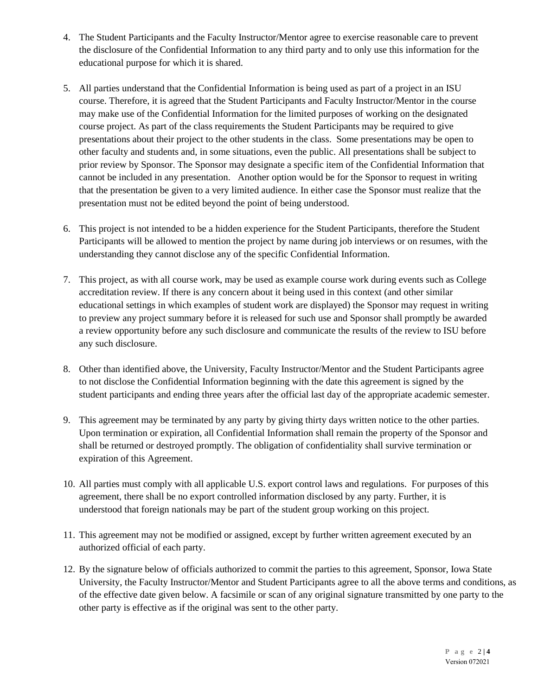- 4. The Student Participants and the Faculty Instructor/Mentor agree to exercise reasonable care to prevent the disclosure of the Confidential Information to any third party and to only use this information for the educational purpose for which it is shared.
- 5. All parties understand that the Confidential Information is being used as part of a project in an ISU course. Therefore, it is agreed that the Student Participants and Faculty Instructor/Mentor in the course may make use of the Confidential Information for the limited purposes of working on the designated course project. As part of the class requirements the Student Participants may be required to give presentations about their project to the other students in the class. Some presentations may be open to other faculty and students and, in some situations, even the public. All presentations shall be subject to prior review by Sponsor. The Sponsor may designate a specific item of the Confidential Information that cannot be included in any presentation. Another option would be for the Sponsor to request in writing that the presentation be given to a very limited audience. In either case the Sponsor must realize that the presentation must not be edited beyond the point of being understood.
- 6. This project is not intended to be a hidden experience for the Student Participants, therefore the Student Participants will be allowed to mention the project by name during job interviews or on resumes, with the understanding they cannot disclose any of the specific Confidential Information.
- 7. This project, as with all course work, may be used as example course work during events such as College accreditation review. If there is any concern about it being used in this context (and other similar educational settings in which examples of student work are displayed) the Sponsor may request in writing to preview any project summary before it is released for such use and Sponsor shall promptly be awarded a review opportunity before any such disclosure and communicate the results of the review to ISU before any such disclosure.
- 8. Other than identified above, the University, Faculty Instructor/Mentor and the Student Participants agree to not disclose the Confidential Information beginning with the date this agreement is signed by the student participants and ending three years after the official last day of the appropriate academic semester.
- 9. This agreement may be terminated by any party by giving thirty days written notice to the other parties. Upon termination or expiration, all Confidential Information shall remain the property of the Sponsor and shall be returned or destroyed promptly. The obligation of confidentiality shall survive termination or expiration of this Agreement.
- 10. All parties must comply with all applicable U.S. export control laws and regulations. For purposes of this agreement, there shall be no export controlled information disclosed by any party. Further, it is understood that foreign nationals may be part of the student group working on this project.
- 11. This agreement may not be modified or assigned, except by further written agreement executed by an authorized official of each party.
- 12. By the signature below of officials authorized to commit the parties to this agreement, Sponsor, Iowa State University, the Faculty Instructor/Mentor and Student Participants agree to all the above terms and conditions, as of the effective date given below. A facsimile or scan of any original signature transmitted by one party to the other party is effective as if the original was sent to the other party.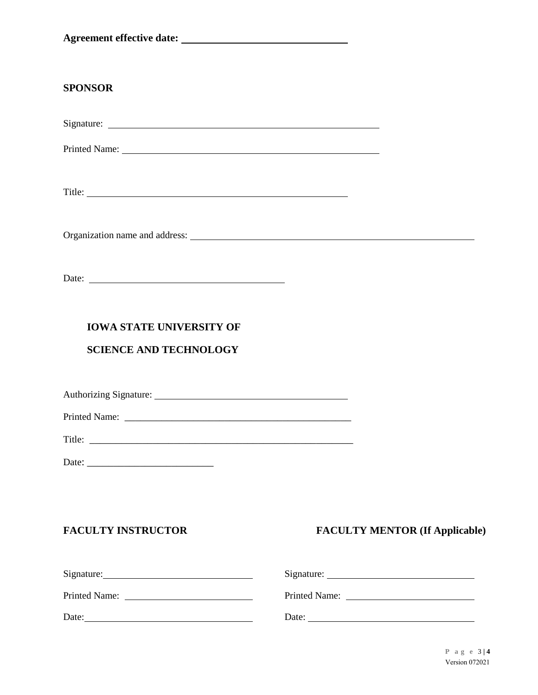| <b>SPONSOR</b>                                                                                                                                                                                                                 |  |
|--------------------------------------------------------------------------------------------------------------------------------------------------------------------------------------------------------------------------------|--|
|                                                                                                                                                                                                                                |  |
| Printed Name: 1988. The Communication of the Communication of the Communication of the Communication of the Communication of the Communication of the Communication of the Communication of the Communication of the Communica |  |
|                                                                                                                                                                                                                                |  |
|                                                                                                                                                                                                                                |  |
|                                                                                                                                                                                                                                |  |
| <b>IOWA STATE UNIVERSITY OF</b>                                                                                                                                                                                                |  |
| <b>SCIENCE AND TECHNOLOGY</b>                                                                                                                                                                                                  |  |
|                                                                                                                                                                                                                                |  |
| Printed Name:                                                                                                                                                                                                                  |  |
|                                                                                                                                                                                                                                |  |
|                                                                                                                                                                                                                                |  |
|                                                                                                                                                                                                                                |  |
|                                                                                                                                                                                                                                |  |

## **FACULTY INSTRUCTOR FACULTY MENTOR (If Applicable)**

| Signature:    | Signature:    |
|---------------|---------------|
| Printed Name: | Printed Name: |
| Date:         | Date:         |